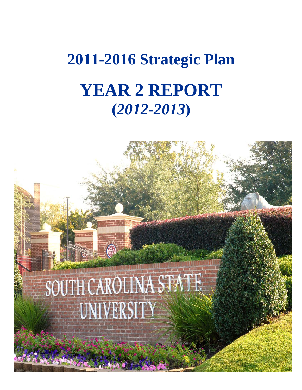# **2011-2016 Strategic Plan YEAR 2 REPORT (***2012-2013***)**

# $\rightarrow$   $\odot$ SOUTH CAROLINA STATE UNIVERSITY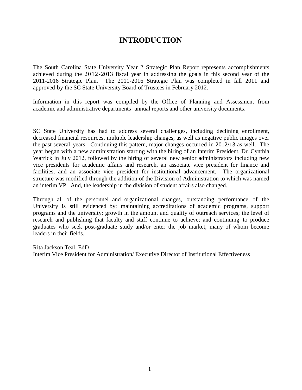# **INTRODUCTION**

The South Carolina State University Year 2 Strategic Plan Report represents accomplishments achieved during the 2012-2013 fiscal year in addressing the goals in this second year of the 2011-2016 Strategic Plan. The 2011-2016 Strategic Plan was completed in fall 2011 and approved by the SC State University Board of Trustees in February 2012.

Information in this report was compiled by the Office of Planning and Assessment from academic and administrative departments' annual reports and other university documents.

SC State University has had to address several challenges, including declining enrollment, decreased financial resources, multiple leadership changes, as well as negative public images over the past several years. Continuing this pattern, major changes occurred in 2012/13 as well. The year began with a new administration starting with the hiring of an Interim President, Dr. Cynthia Warrick in July 2012, followed by the hiring of several new senior administrators including new vice presidents for academic affairs and research, an associate vice president for finance and facilities, and an associate vice president for institutional advancement. The organizational structure was modified through the addition of the Division of Administration to which was named an interim VP. And, the leadership in the division of student affairs also changed.

Through all of the personnel and organizational changes, outstanding performance of the University is still evidenced by: maintaining accreditations of academic programs, support programs and the university; growth in the amount and quality of outreach services; the level of research and publishing that faculty and staff continue to achieve; and continuing to produce graduates who seek post-graduate study and/or enter the job market, many of whom become leaders in their fields.

Rita Jackson Teal, EdD Interim Vice President for Administration/ Executive Director of Institutional Effectiveness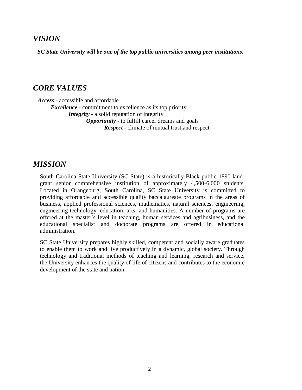# *VISION*

*SC State University will be one of the top public universities among peer institutions.*

# *CORE VALUES*

*Access* - accessible and affordable

*Excellence* - commitment to excellence as its top priority

*Integrity* - a solid reputation of integrity

*Opportunity* - to fulfill career dreams and goals *Respect* - climate of mutual trust and respect

# *MISSION*

South Carolina State University (SC State) is a historically Black public 1890 landgrant senior comprehensive institution of approximately 4,500-6,000 students. Located in Orangeburg, South Carolina, SC State University is committed to providing affordable and accessible quality baccalaureate programs in the areas of business, applied professional sciences, mathematics, natural sciences, engineering, engineering technology, education, arts, and humanities. A number of programs are offered at the master's level in teaching, human services and agribusiness, and the educational specialist and doctorate programs are offered in educational administration.

SC State University prepares highly skilled, competent and socially aware graduates to enable them to work and live productively in a dynamic, global society. Through technology and traditional methods of teaching and learning, research and service, the University enhances the quality of life of citizens and contributes to the economic development of the state and nation.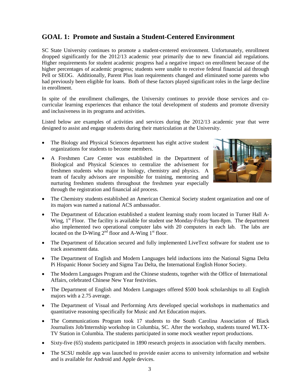# **GOAL 1: Promote and Sustain a Student-Centered Environment**

SC State University continues to promote a student-centered environment. Unfortunately, enrollment dropped significantly for the 2012/13 academic year primarily due to new financial aid regulations. Higher requirements for student academic progress had a negative impact on enrollment because of the higher percentages of academic progress; students were unable to receive federal financial aid through Pell or SEOG. Additionally, Parent Plus loan requirements changed and eliminated some parents who had previously been eligible for loans. Both of these factors played significant roles in the large decline in enrollment.

In spite of the enrollment challenges, the University continues to provide those services and cocurricular learning experiences that enhance the total development of students and promote diversity and inclusiveness in its programs and activities.

Listed below are examples of activities and services during the 2012/13 academic year that were designed to assist and engage students during their matriculation at the University.

- The Biology and Physical Sciences department has eight active student organizations for students to become members.
- A Freshmen Care Center was established in the Department of Biological and Physical Sciences to centralize the advisement for freshmen students who major in biology, chemistry and physics. A team of faculty advisors are responsible for training, mentoring and nurturing freshmen students throughout the freshmen year especially through the registration and financial aid process.



- The Chemistry students established an American Chemical Society student organization and one of its majors was named a national ACS ambassador.
- The Department of Education established a student learning study room located in Turner Hall A-Wing, 1<sup>st</sup> Floor. The facility is available for student use Monday-Friday 9am-8pm. The department also implemented two operational computer labs with 20 computers in each lab. The labs are located on the D-Wing  $2<sup>nd</sup>$  floor and A-Wing  $1<sup>st</sup>$  floor.
- The Department of Education secured and fully implemented LiveText software for student use to track assessment data.
- The Department of English and Modern Languages held inductions into the National Sigma Delta Pi Hispanic Honor Society and Sigma Tau Delta, the International English Honor Society.
- The Modern Languages Program and the Chinese students, together with the Office of International Affairs, celebrated Chinese New Year festivities.
- The Department of English and Modern Languages offered \$500 book scholarships to all English majors with a 2.75 average.
- The Department of Visual and Performing Arts developed special workshops in mathematics and quantitative reasoning specifically for Music and Art Education majors.
- The Communications Program took 17 students to the South Carolina Association of Black Journalists Job/Internship workshop in Columbia, SC. After the workshop, students toured WLTX-TV Station in Columbia. The students participated in some mock weather report productions.
- Sixty-five (65) students participated in 1890 research projects in association with faculty members.
- The SCSU mobile app was launched to provide easier access to university information and website and is available for Android and Apple devices.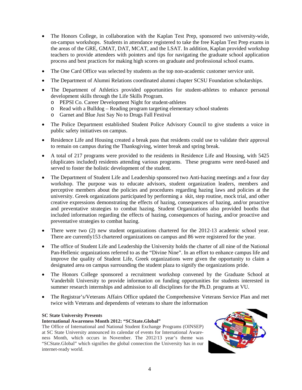- The Honors College, in collaboration with the Kaplan Test Prep, sponsored two university-wide, on-campus workshops. Students in attendance registered to take the free Kaplan Test Prep exams in the areas of the GRE, GMAT, DAT, MCAT, and the LSAT. In addition, Kaplan provided workshop teachers to provide attendees with pointers and tips for navigating the graduate school application process and best practices for making high scores on graduate and professional school exams.
- The One Card Office was selected by students as the top non-academic customer service unit.
- The Department of Alumni Relations coordinated alumni chapter SCSU Foundation scholarships.
- The Department of Athletics provided opportunities for student-athletes to enhance personal development skills through the Life Skills Program.
	- o PEPSI Co. Career Development Night for student-athletes
	- o Read with a Bulldog Reading program targeting elementary school students
	- o Garnet and Blue Just Say No to Drugs Fall Festival
- The Police Department established Student Police Advisory Council to give students a voice in public safety initiatives on campus.
- Residence Life and Housing created a break pass that residents could use to validate their approval to remain on campus during the Thanksgiving, winter break and spring break.
- A total of 217 programs were provided to the residents in Residence Life and Housing, with 5425 (duplicates included) residents attending various programs. These programs were need-based and served to foster the holistic development of the student.
- The Department of Student Life and Leadership sponsored two Anti-hazing meetings and a four day workshop. The purpose was to educate advisors, student organization leaders, members and perceptive members about the policies and procedures regarding hazing laws and policies at the university. Greek organizations participated by performing a skit, step routine, mock trial, and other creative expressions demonstrating the effects of hazing, consequences of hazing, and/or proactive and preventative strategies to combat hazing. Student Organizations also provided booths that included information regarding the effects of hazing, consequences of hazing, and/or proactive and preventative strategies to combat hazing.
- There were two (2) new student organizations chartered for the 2012-13 academic school year. There are currently153 chartered organizations on campus and 86 were registered for the year.
- The office of Student Life and Leadership the University holds the charter of all nine of the National Pan-Hellenic organizations referred to as the "Divine Nine". In an effort to enhance campus life and improve the quality of Student Life, Greek organizations were given the opportunity to claim a designated area on campus surrounding the student plaza to signify the organizations pride.
- The Honors College sponsored a recruitment workshop convened by the Graduate School at Vanderbilt University to provide information on funding opportunities for students interested in summer research internships and admission to all disciplines for the Ph.D. programs at VU.
- The Registrar's/Veterans Affairs Office updated the Comprehensive Veterans Service Plan and met twice with Veterans and dependents of veterans to share the information

#### **SC State University Presents**

#### **International Awareness Month 2012: "SCState.Global"**

The Office of International and National Student Exchange Programs (OINSEP) at SC State University announced its calendar of events for International Awareness Month, which occurs in November. The 2012/13 year's theme was "SCState.Global" which signifies the global connection the University has in our internet-ready world.

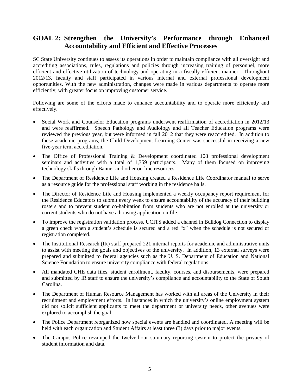# **GOAL 2: Strengthen the University's Performance through Enhanced Accountability and Efficient and Effective Processes**

SC State University continues to assess its operations in order to maintain compliance with all oversight and accrediting associations, rules, regulations and policies through increasing training of personnel, more efficient and effective utilization of technology and operating in a fiscally efficient manner. Throughout 2012/13, faculty and staff participated in various internal and external professional development opportunities. With the new administration, changes were made in various departments to operate more efficiently, with greater focus on improving customer service.

Following are some of the efforts made to enhance accountability and to operate more efficiently and effectively.

- Social Work and Counselor Education programs underwent reaffirmation of accreditation in 2012/13 and were reaffirmed. Speech Pathology and Audiology and all Teacher Education programs were reviewed the previous year, but were informed in fall 2012 that they were reaccredited. In addition to these academic programs, the Child Development Learning Center was successful in receiving a new five-year term accreditation.
- The Office of Professional Training & Development coordinated 108 professional development seminars and activities with a total of 1,359 participants. Many of them focused on improving technology skills through Banner and other on-line resources.
- The Department of Residence Life and Housing created a Residence Life Coordinator manual to serve as a resource guide for the professional staff working in the residence halls.
- The Director of Residence Life and Housing implemented a weekly occupancy report requirement for the Residence Educators to submit every week to ensure accountability of the accuracy of their building rosters and to prevent student co-habitation from students who are not enrolled at the university or current students who do not have a housing application on file.
- To improve the registration validation process, UCITS added a channel in Bulldog Connection to display a green check when a student's schedule is secured and a red "x" when the schedule is not secured or registration completed.
- The Institutional Research (IR) staff prepared 221 internal reports for academic and administrative units to assist with meeting the goals and objectives of the university. In addition, 13 external surveys were prepared and submitted to federal agencies such as the U. S. Department of Education and National Science Foundation to ensure university compliance with federal regulations.
- All mandated CHE data files, student enrollment, faculty, courses, and disbursements, were prepared and submitted by IR staff to ensure the university's compliance and accountability to the State of South Carolina.
- The Department of Human Resource Management has worked with all areas of the University in their recruitment and employment efforts. In instances in which the university's online employment system did not solicit sufficient applicants to meet the department or university needs, other avenues were explored to accomplish the goal.
- The Police Department reorganized how special events are handled and coordinated. A meeting will be held with each organization and Student Affairs at least three (3) days prior to major events.
- The Campus Police revamped the twelve-hour summary reporting system to protect the privacy of student information and data.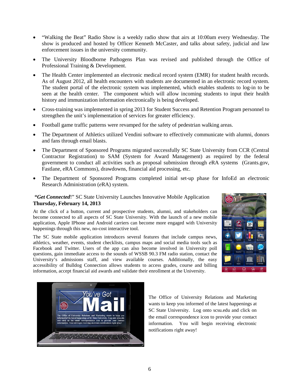- "Walking the Beat" Radio Show is a weekly radio show that airs at 10:00am every Wednesday. The show is produced and hosted by Officer Kenneth McCaster, and talks about safety, judicial and law enforcement issues in the university community.
- The University Bloodborne Pathogens Plan was revised and published through the Office of Professional Training & Development.
- The Health Center implemented an electronic medical record system (EMR) for student health records. As of August 2012, all health encounters with students are documented in an electronic record system. The student portal of the electronic system was implemented, which enables students to log-in to be seen at the health center. The component which will allow incoming students to input their health history and immunization information electronically is being developed.
- Cross-training was implemented in spring 2013 for Student Success and Retention Program personnel to strengthen the unit's implementation of services for greater efficiency.
- Football game traffic patterns were revamped for the safety of pedestrian walking areas.
- The Department of Athletics utilized Vendini software to effectively communicate with alumni, donors and fans through email blasts.
- The Department of Sponsored Programs migrated successfully SC State University from CCR (Central Contractor Registration) to SAM (System for Award Management) as required by the federal government to conduct all activities such as proposal submission through *e*RA systems (Grants.gov, Fastlane, eRA Commons), drawdowns, financial aid processing, etc.
- The Department of Sponsored Programs completed initial set-up phase for InfoEd an *e*lectronic Research Administration (*e*RA) system.

#### *"Get Connected*!" SC State University Launches Innovative Mobile Application **Thursday, February 14, 2013**

At the click of a button, current and prospective students, alumni, and stakeholders can become connected to all aspects of SC State University. With the launch of a new mobile application, Apple IPhone and Android carriers can become more engaged with University happenings through this new, no-cost interactive tool.

The SC State mobile application introduces several features that include campus news, athletics, weather, events, student checklists, campus maps and social media tools such as Facebook and Twitter. Users of the app can also become involved in University poll questions, gain immediate access to the sounds of WSSB 90.3 FM radio station, contact the University's admissions staff, and view available courses. Additionally, the easy accessibility of Bulldog Connection allows students to access grades, course and billing information, accept financial aid awards and validate their enrollment at the University.





The Office of University Relations and Marketing wants to keep you informed of the latest happenings at SC State University. Log onto scsu.edu and click on the email correspondence icon to provide your contact information. You will begin receiving electronic notifications right away!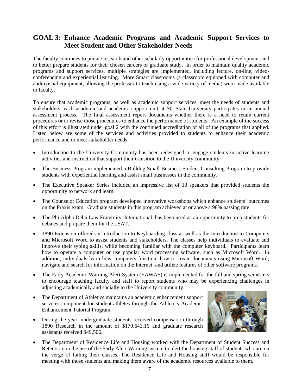## **GOAL 3: Enhance Academic Programs and Academic Support Services to Meet Student and Other Stakeholder Needs**

The faculty continues to pursue research and other scholarly opportunities for professional development and to better prepare students for their chosen careers or graduate study. In order to maintain quality academic programs and support services, multiple strategies are implemented, including lecture, on-line, videoconferencing and experiential learning. More Smart classrooms (a classroom equipped with computer and audiovisual equipment, allowing the professor to teach using a wide variety of media) were made available to faculty.

To ensure that academic programs, as well as academic support services, meet the needs of students and stakeholders, each academic and academic support unit at SC State University participates in an annual assessment process. The final assessment report documents whether there is a need to retain current procedures or to revise those procedures to enhance the performance of students. An example of the success of this effort is illustrated under goal 2 with the continued accreditation of all of the programs that applied. Listed below are some of the services and activities provided to students to enhance their academic performance and to meet stakeholder needs.

- Introduction to the University Community has been redesigned to engage students in active learning activities and instruction that support their transition to the University community.
- The Business Program implemented a Bulldog Small Business Student Consulting Program to provide students with experiential learning and assist small businesses in the community.
- The Executive Speaker Series included an impressive list of 13 speakers that provided students the opportunity to network and learn.
- The Counselor Education program developed innovative workshops which enhance students' outcomes on the Praxis exam. Graduate students in this program achieved at or above a 98% passing rate.
- The Phi Alpha Delta Law Fraternity, International, has been used as an opportunity to prep students for debates and prepare them for the LSAT.
- 1890 Extension offered an Introduction to Keyboarding class as well as the Introduction to Computers and Microsoft Word to assist students and stakeholders. The classes help individuals to evaluate and improve their typing skills, while becoming familiar with the computer keyboard. Participants learn how to operate a computer or use popular word processing software, such as Microsoft Word. In addition, individuals learn how computers function; how to create documents using Microsoft Word; navigate and search for information on the Internet; and utilize features of other software programs.
- The Early Academic Warning Alert System (EAWAS) is implemented for the fall and spring semesters to encourage teaching faculty and staff to report students who may be experiencing challenges in adjusting academically and socially to the University community.
- The Department of Athletics maintains an academic enhancement support services component for student-athletes through the Athletics Academic Enhancement Tutorial Program.
- During the year, undergraduate students received compensation through 1890 Research in the amount of \$170,643.16 and graduate research assistants received \$49,506.



• The Department of Residence Life and Housing worked with the Department of Student Success and Retention on the use of the Early Alert Warning system to alert the housing staff of students who are on the verge of failing their classes. The Residence Life and Housing staff would be responsible for meeting with those students and making them aware of the academic resources available to them.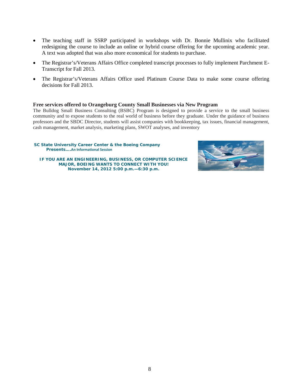- The teaching staff in SSRP participated in workshops with Dr. Bonnie Mullinix who facilitated redesigning the course to include an online or hybrid course offering for the upcoming academic year. A text was adopted that was also more economical for students to purchase.
- The Registrar's/Veterans Affairs Office completed transcript processes to fully implement Parchment E-Transcript for Fall 2013.
- The Registrar's/Veterans Affairs Office used Platinum Course Data to make some course offering decisions for Fall 2013.

#### **Free services offered to Orangeburg County Small Businesses via New Program**

The Bulldog Small Business Consulting (BSBC) Program is designed to provide a service to the small business community and to expose students to the real world of business before they graduate. Under the guidance of business professors and the SBDC Director, students will assist companies with bookkeeping, tax issues, financial management, cash management, market analysis, marketing plans, SWOT analyses, and inventory

#### **SC State University Career Center & the Boeing Company Presents….An Informational Session**

**IF YOU ARE AN ENGINEERING, BUSINESS, OR COMPUTER SCIENCE MAJOR, BOEING WANTS TO CONNECT WITH YOU! November 14, 2012 5:00 p.m.—6:30 p.m.**

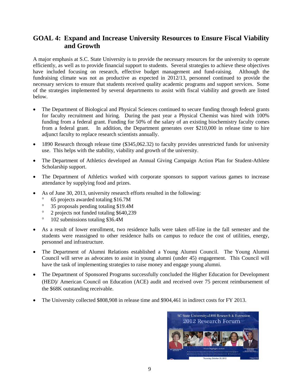# **GOAL 4: Expand and Increase University Resources to Ensure Fiscal Viability and Growth**

A major emphasis at S.C. State University is to provide the necessary resources for the university to operate efficiently, as well as to provide financial support to students. Several strategies to achieve these objectives have included focusing on research, effective budget management and fund-raising. Although the fundraising climate was not as productive as expected in 2012/13, personnel continued to provide the necessary services to ensure that students received quality academic programs and support services. Some of the strategies implemented by several departments to assist with fiscal viability and growth are listed below.

- The Department of Biological and Physical Sciences continued to secure funding through federal grants for faculty recruitment and hiring. During the past year a Physical Chemist was hired with 100% funding from a federal grant. Funding for 50% of the salary of an existing biochemistry faculty comes from a federal grant. In addition, the Department generates over \$210,000 in release time to hire adjunct faculty to replace research scientists annually.
- 1890 Research through release time (\$345,062.32) to faculty provides unrestricted funds for university use. This helps with the stability, viability and growth of the university.
- The Department of Athletics developed an Annual Giving Campaign Action Plan for Student-Athlete Scholarship support.
- The Department of Athletics worked with corporate sponsors to support various games to increase attendance by supplying food and prizes.
- As of June 30, 2013, university research efforts resulted in the following:
	- ° 65 projects awarded totaling \$16.7M
	- ° 35 proposals pending totaling \$19.4M
	- ° 2 projects not funded totaling \$640,239
	- ° 102 submissions totaling \$36.4M
- As a result of lower enrollment, two residence halls were taken off-line in the fall semester and the students were reassigned to other residence halls on campus to reduce the cost of utilities, energy, personnel and infrastructure.
- The Department of Alumni Relations established a Young Alumni Council. The Young Alumni Council will serve as advocates to assist in young alumni (under 45) engagement. This Council will have the task of implementing strategies to raise money and engage young alumni.
- The Department of Sponsored Programs successfully concluded the Higher Education for Development (HED)/ American Council on Education (ACE) audit and received over 75 percent reimbursement of the \$68K outstanding receivable.
- The University collected \$808,908 in release time and \$904,461 in indirect costs for FY 2013.

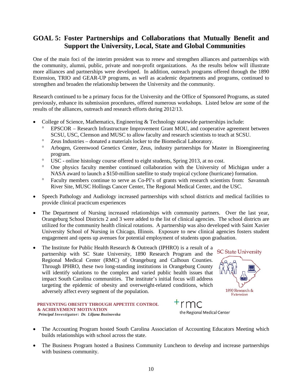# **GOAL 5: Foster Partnerships and Collaborations that Mutually Benefit and Support the University, Local, State and Global Communities**

One of the main foci of the interim president was to renew and strengthen alliances and partnerships with the community, alumni, public, private and non-profit organizations. As the results below will illustrate more alliances and partnerships were developed. In addition, outreach programs offered through the 1890 Extension, TRIO and GEAR-UP programs, as well as academic departments and programs, continued to strengthen and broaden the relationship between the University and the community.

Research continued to be a primary focus for the University and the Office of Sponsored Programs, as stated previously, enhance its submission procedures, offered numerous workshops. Listed below are some of the results of the alliances, outreach and research efforts during 2012/13.

- College of Science, Mathematics, Engineering & Technology statewide partnerships include:
	- ° EPSCOR Research Infrastructure Improvement Grant MOU, and cooperative agreement between SCSU, USC, Clemson and MUSC to allow faculty and research scientists to teach at SCSU.
	- ° Zeus Industries donated a materials locker to the Biomedical Laboratory.
	- ° Arbogen, Greenwood Genetics Center, Zeus, industry partnerships for Master in Bioengineering program.
	- ° USC online histology course offered to eight students, Spring 2013, at no cost.
	- ° One physics faculty member continued collaboration with the University of Michigan under a NASA award to launch a \$150-million satellite to study tropical cyclone (hurricane) formation.
	- ° Faculty members continue to serve as Co-PI's of grants with research scientists from: Savannah River Site, MUSC Hollings Cancer Center, The Regional Medical Center, and the USC.
- Speech Pathology and Audiology increased partnerships with school districts and medical facilities to provide clinical practicum experiences
- The Department of Nursing increased relationships with community partners. Over the last year, Orangeburg School Districts 2 and 3 were added to the list of clinical agencies. The school districts are utilized for the community health clinical rotations. A partnership was also developed with Saint Xavier University School of Nursing in Chicago, Illinois. Exposure to new clinical agencies fosters student engagement and opens up avenues for potential employment of students upon graduation.
- The Institute for Public Health Research & Outreach (IPHRO) is a result of a partnership with SC State University, 1890 Research Program and the Regional Medical Center (RMC) of Orangeburg and Calhoun Counties. Through IPHRO, these two long-standing institutions in Orangeburg County will identify solutions to the complex and varied public health issues that impact South Carolina communities. The institute's initial focus will address targeting the epidemic of obesity and overweight-related conditions, which adversely affect every segment of the population.



the Regional Medical Center

#### **PREVENTING OBESITY THROUGH APPETITE CONTROL & ACHIEVEMENT MOTIVATION** *Principal Investigator: Dr. Liljana Bozinovska*

- The Accounting Program hosted South Carolina Association of Accounting Educators Meeting which builds relationships with school across the state.
- The Business Program hosted a Business Community Luncheon to develop and increase partnerships with business community.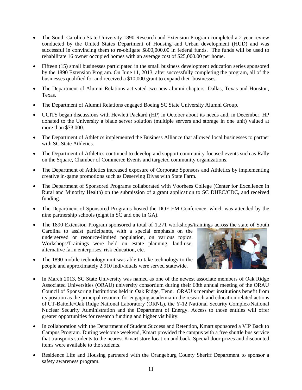- The South Carolina State University 1890 Research and Extension Program completed a 2-year review conducted by the United States Department of Housing and Urban development (HUD) and was successful in convincing them to re-obligate \$800,000.00 in federal funds. The funds will be used to rehabilitate 16 owner occupied homes with an average cost of \$25,000.00 per home.
- Fifteen (15) small businesses participated in the small business development education series sponsored by the 1890 Extension Program. On June 11, 2013, after successfully completing the program, all of the businesses qualified for and received a \$10,000 grant to expand their businesses.
- The Department of Alumni Relations activated two new alumni chapters: Dallas, Texas and Houston, Texas.
- The Department of Alumni Relations engaged Boeing SC State University Alumni Group.
- UCITS began discussions with Hewlett Packard (HP) in October about its needs and, in December, HP donated to the University a blade server solution (multiple servers and storage in one unit) valued at more than \$73,000.
- The Department of Athletics implemented the Business Alliance that allowed local businesses to partner with SC State Athletics.
- The Department of Athletics continued to develop and support community-focused events such as Rally on the Square, Chamber of Commerce Events and targeted community organizations.
- The Department of Athletics increased exposure of Corporate Sponsors and Athletics by implementing creative in-game promotions such as Deserving Divas with State Farm.
- The Department of Sponsored Programs collaborated with Voorhees College (Center for Excellence in Rural and Minority Health) on the submission of a grant application to SC DHEC/CDC, and received funding.
- The Department of Sponsored Programs hosted the DOE-EM Conference, which was attended by the nine partnership schools (eight in SC and one in GA).
- The 1890 Extension Program sponsored a total of 1,271 workshops/trainings across the state of South Carolina to assist participants, with a special emphasis on the underserved or resource-limited population, on various topics. Workshops/Trainings were held on estate planning, land-use, alternative farm enterprises, risk education, etc.
- The 1890 mobile technology unit was able to take technology to the people and approximately 2,910 individuals were served statewide.



- In March 2013, SC State University was named as one of the newest associate members of Oak Ridge Associated Universities (ORAU) university consortium during their 68th annual meeting of the ORAU Council of Sponsoring Institutions held in Oak Ridge, Tenn. ORAU's member institutions benefit from its position as the principal resource for engaging academia in the research and education related actions of UT-Battelle/Oak Ridge National Laboratory (ORNL), the Y-12 National Security Complex/National Nuclear Security Administration and the Department of Energy. Access to those entities will offer greater opportunities for research funding and higher visibility.
- In collaboration with the Department of Student Success and Retention, Kmart sponsored a VIP Back to Campus Program. During welcome weekend, Kmart provided the campus with a free shuttle bus service that transports students to the nearest Kmart store location and back. Special door prizes and discounted items were available to the students.
- Residence Life and Housing partnered with the Orangeburg County Sheriff Department to sponsor a safety awareness program.